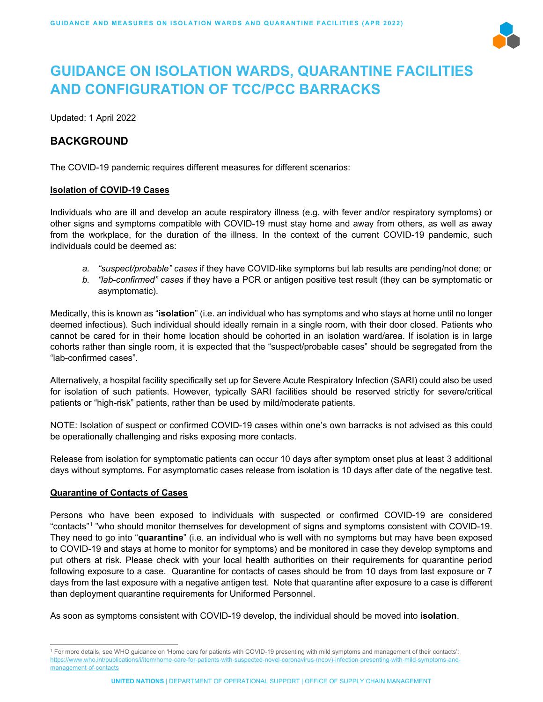

# **GUIDANCE ON ISOLATION WARDS, QUARANTINE FACILITIES AND CONFIGURATION OF TCC/PCC BARRACKS**

Updated: 1 April 2022

## **BACKGROUND**

The COVID-19 pandemic requires different measures for different scenarios:

### **Isolation of COVID-19 Cases**

Individuals who are ill and develop an acute respiratory illness (e.g. with fever and/or respiratory symptoms) or other signs and symptoms compatible with COVID-19 must stay home and away from others, as well as away from the workplace, for the duration of the illness. In the context of the current COVID-19 pandemic, such individuals could be deemed as:

- *a. "suspect/probable" cases* if they have COVID-like symptoms but lab results are pending/not done; or
- *b. "lab-confirmed" cases* if they have a PCR or antigen positive test result (they can be symptomatic or asymptomatic).

Medically, this is known as "**isolation**" (i.e. an individual who has symptoms and who stays at home until no longer deemed infectious). Such individual should ideally remain in a single room, with their door closed. Patients who cannot be cared for in their home location should be cohorted in an isolation ward/area. If isolation is in large cohorts rather than single room, it is expected that the "suspect/probable cases" should be segregated from the "lab-confirmed cases".

Alternatively, a hospital facility specifically set up for Severe Acute Respiratory Infection (SARI) could also be used for isolation of such patients. However, typically SARI facilities should be reserved strictly for severe/critical patients or "high-risk" patients, rather than be used by mild/moderate patients.

NOTE: Isolation of suspect or confirmed COVID-19 cases within one's own barracks is not advised as this could be operationally challenging and risks exposing more contacts.

Release from isolation for symptomatic patients can occur 10 days after symptom onset plus at least 3 additional days without symptoms. For asymptomatic cases release from isolation is 10 days after date of the negative test.

## **Quarantine of Contacts of Cases**

Persons who have been exposed to individuals with suspected or confirmed COVID-19 are considered "contacts"[1](#page-0-0) "who should monitor themselves for development of signs and symptoms consistent with COVID-19. They need to go into "**quarantine**" (i.e. an individual who is well with no symptoms but may have been exposed to COVID-19 and stays at home to monitor for symptoms) and be monitored in case they develop symptoms and put others at risk. Please check with your local health authorities on their requirements for quarantine period following exposure to a case. Quarantine for contacts of cases should be from 10 days from last exposure or 7 days from the last exposure with a negative antigen test. Note that quarantine after exposure to a case is different than deployment quarantine requirements for Uniformed Personnel.

As soon as symptoms consistent with COVID-19 develop, the individual should be moved into **isolation**.

<span id="page-0-0"></span><sup>1</sup> For more details, see WHO guidance on 'Home care for patients with COVID-19 presenting with mild symptoms and management of their contacts': [https://www.who.int/publications/i/item/home-care-for-patients-with-suspected-novel-coronavirus-\(ncov\)-infection-presenting-with-mild-symptoms-and](about:blank)[management-of-contacts](about:blank)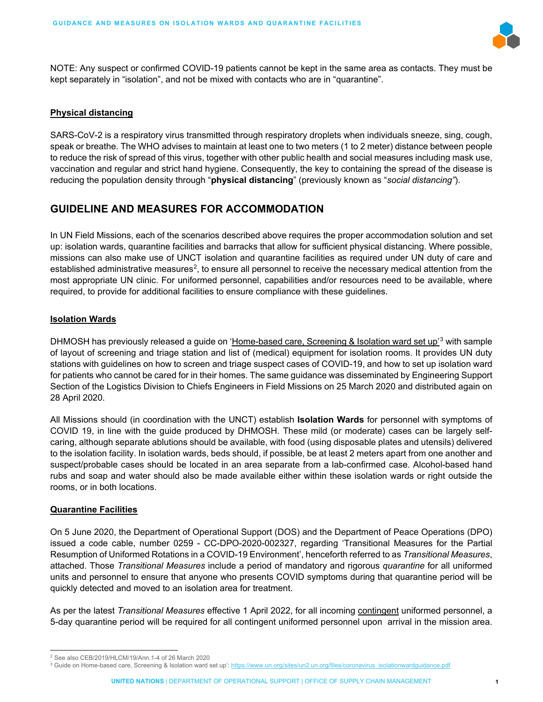

NOTE: Any suspect or confirmed COVID-19 patients cannot be kept in the same area as contacts. They must be kept separately in "isolation", and not be mixed with contacts who are in "quarantine".

## **Physical distancing**

SARS-CoV-2 is a respiratory virus transmitted through respiratory droplets when individuals sneeze, sing, cough, speak or breathe. The WHO advises to maintain at least one to two meters (1 to 2 meter) distance between people to reduce the risk of spread of this virus, together with other public health and social measures including mask use, vaccination and regular and strict hand hygiene. Consequently, the key to containing the spread of the disease is reducing the population density through "**physical distancing**" (previously known as "*social distancing"*).

# **GUIDELINE AND MEASURES FOR ACCOMMODATION**

In UN Field Missions, each of the scenarios described above requires the proper accommodation solution and set up: isolation wards, quarantine facilities and barracks that allow for sufficient physical distancing. Where possible, missions can also make use of UNCT isolation and quarantine facilities as required under UN duty of care and established administrative measures<sup>[2](#page-1-0)</sup>, to ensure all personnel to receive the necessary medical attention from the most appropriate UN clinic. For uniformed personnel, capabilities and/or resources need to be available, where required, to provide for additional facilities to ensure compliance with these guidelines.

## **Isolation Wards**

DHMOSH has previously released a guide on '<u>Home-based care, Screening & Isolation ward set up'</u>[3](#page-1-1) with sample of layout of screening and triage station and list of (medical) equipment for isolation rooms. It provides UN duty stations with guidelines on how to screen and triage suspect cases of COVID-19, and how to set up isolation ward for patients who cannot be cared for in their homes. The same guidance was disseminated by Engineering Support Section of the Logistics Division to Chiefs Engineers in Field Missions on 25 March 2020 and distributed again on 28 April 2020.

All Missions should (in coordination with the UNCT) establish **Isolation Wards** for personnel with symptoms of COVID 19, in line with the guide produced by DHMOSH. These mild (or moderate) cases can be largely selfcaring, although separate ablutions should be available, with food (using disposable plates and utensils) delivered to the isolation facility. In isolation wards, beds should, if possible, be at least 2 meters apart from one another and suspect/probable cases should be located in an area separate from a lab-confirmed case. Alcohol-based hand rubs and soap and water should also be made available either within these isolation wards or right outside the rooms, or in both locations.

## **Quarantine Facilities**

On 5 June 2020, the Department of Operational Support (DOS) and the Department of Peace Operations (DPO) issued a code cable, number 0259 - CC-DPO-2020-002327, regarding 'Transitional Measures for the Partial Resumption of Uniformed Rotations in a COVID-19 Environment', henceforth referred to as *Transitional Measures*, attached. Those *Transitional Measures* include a period of mandatory and rigorous *quarantine* for all uniformed units and personnel to ensure that anyone who presents COVID symptoms during that quarantine period will be quickly detected and moved to an isolation area for treatment.

As per the latest *Transitional Measures* effective 1 April 2022, for all incoming contingent uniformed personnel, a 5-day quarantine period will be required for all contingent uniformed personnel upon arrival in the mission area.

<span id="page-1-1"></span><span id="page-1-0"></span><sup>&</sup>lt;sup>2</sup> See also CEB/2019/HLCM/19/Ann.1-4 of 26 March 2020<br><sup>3</sup> Guide on Home-based care, Screening & Isolation ward set up': <u>https://www.un.org/sites/un2.un.org/files/coronavirus\_isolationwardguidance.pdf</u>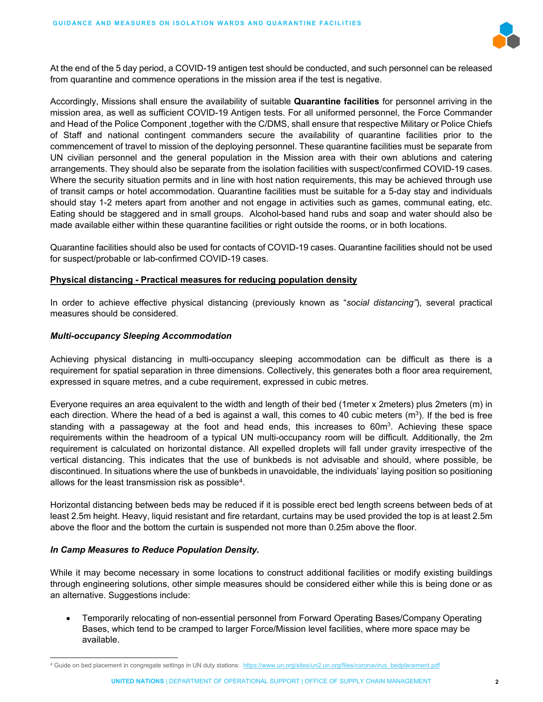

At the end of the 5 day period, a COVID-19 antigen test should be conducted, and such personnel can be released from quarantine and commence operations in the mission area if the test is negative.

Accordingly, Missions shall ensure the availability of suitable **Quarantine facilities** for personnel arriving in the mission area, as well as sufficient COVID-19 Antigen tests. For all uniformed personnel, the Force Commander and Head of the Police Component ,together with the C/DMS, shall ensure that respective Military or Police Chiefs of Staff and national contingent commanders secure the availability of quarantine facilities prior to the commencement of travel to mission of the deploying personnel. These quarantine facilities must be separate from UN civilian personnel and the general population in the Mission area with their own ablutions and catering arrangements. They should also be separate from the isolation facilities with suspect/confirmed COVID-19 cases. Where the security situation permits and in line with host nation requirements, this may be achieved through use of transit camps or hotel accommodation. Quarantine facilities must be suitable for a 5-day stay and individuals should stay 1-2 meters apart from another and not engage in activities such as games, communal eating, etc. Eating should be staggered and in small groups. Alcohol-based hand rubs and soap and water should also be made available either within these quarantine facilities or right outside the rooms, or in both locations.

Quarantine facilities should also be used for contacts of COVID-19 cases. Quarantine facilities should not be used for suspect/probable or lab-confirmed COVID-19 cases.

### **Physical distancing - Practical measures for reducing population density**

In order to achieve effective physical distancing (previously known as "*social distancing"*), several practical measures should be considered.

#### *Multi-occupancy Sleeping Accommodation*

Achieving physical distancing in multi-occupancy sleeping accommodation can be difficult as there is a requirement for spatial separation in three dimensions. Collectively, this generates both a floor area requirement, expressed in square metres, and a cube requirement, expressed in cubic metres.

Everyone requires an area equivalent to the width and length of their bed (1meter x 2meters) plus 2meters (m) in each direction. Where the head of a bed is against a wall, this comes to 40 cubic meters  $(m^3)$ . If the bed is free standing with a passageway at the foot and head ends, this increases to 60 $\text{m}^3$ . Achieving these space requirements within the headroom of a typical UN multi-occupancy room will be difficult. Additionally, the 2m requirement is calculated on horizontal distance. All expelled droplets will fall under gravity irrespective of the vertical distancing. This indicates that the use of bunkbeds is not advisable and should, where possible, be discontinued. In situations where the use of bunkbeds in unavoidable, the individuals' laying position so positioning allows for the least transmission risk as possible<sup>4</sup>.

Horizontal distancing between beds may be reduced if it is possible erect bed length screens between beds of at least 2.5m height. Heavy, liquid resistant and fire retardant, curtains may be used provided the top is at least 2.5m above the floor and the bottom the curtain is suspended not more than 0.25m above the floor.

### *In Camp Measures to Reduce Population Density***.**

While it may become necessary in some locations to construct additional facilities or modify existing buildings through engineering solutions, other simple measures should be considered either while this is being done or as an alternative. Suggestions include:

• Temporarily relocating of non-essential personnel from Forward Operating Bases/Company Operating Bases, which tend to be cramped to larger Force/Mission level facilities, where more space may be available.

<span id="page-2-0"></span><sup>4</sup> Guide on bed placement in congregate settings in UN duty stations: [https://www.un.org/sites/un2.un.org/files/coronavirus\\_bedplacement.pdf](about:blank)